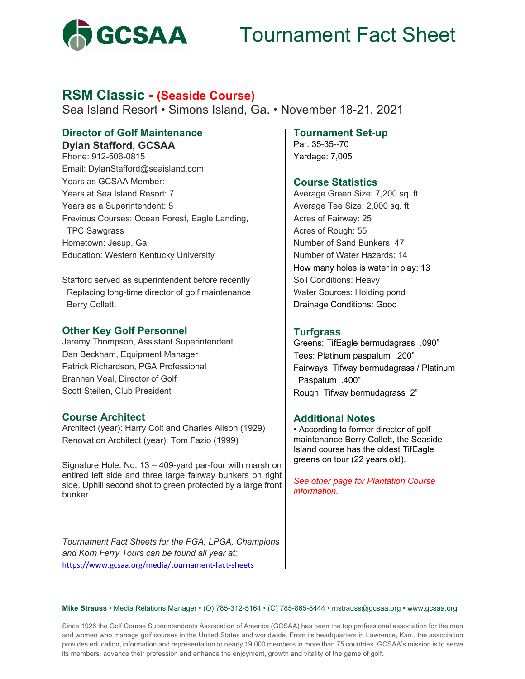

# Tournament Fact Sheet

## **RSM Classic - (Seaside Course)**

Sea Island Resort • Simons Island, Ga. • November 18-21, 2021

## **Director of Golf Maintenance Dylan Stafford, GCSAA**

Phone: 912-506-0815 Email: DylanStafford@seaisland.com Years as GCSAA Member: Years at Sea Island Resort: 7 Years as a Superintendent: 5 Previous Courses: Ocean Forest, Eagle Landing, TPC Sawgrass Hometown: Jesup, Ga. Education: Western Kentucky University

Stafford served as superintendent before recently Replacing long-time director of golf maintenance Berry Collett.

### **Other Key Golf Personnel**

Jeremy Thompson, Assistant Superintendent Dan Beckham, Equipment Manager Patrick Richardson, PGA Professional Brannen Veal, Director of Golf Scott Steilen, Club President

## **Course Architect**

Architect (year): Harry Colt and Charles Alison (1929) Renovation Architect (year): Tom Fazio (1999)

Signature Hole: No. 13 – 409-yard par-four with marsh on entired left side and three large fairway bunkers on right side. Uphill second shot to green protected by a large front bunker.

*Tournament Fact Sheets for the PGA, LPGA, Champions and Korn Ferry Tours can be found all year at:*  https://www.gcsaa.org/media/tournament-fact-sheets

### **Tournament Set-up**

Par: 35-35--70 Yardage: 7,005

## **Course Statistics**

Average Green Size: 7,200 sq. ft. Average Tee Size: 2,000 sq. ft. Acres of Fairway: 25 Acres of Rough: 55 Number of Sand Bunkers: 47 Number of Water Hazards: 14 How many holes is water in play: 13 Soil Conditions: Heavy Water Sources: Holding pond Drainage Conditions: Good

## **Turfgrass**

Greens: TifEagle bermudagrass .090" Tees: Platinum paspalum .200" Fairways: Tifway bermudagrass / Platinum Paspalum .400" Rough: Tifway bermudagrass 2"

## **Additional Notes**

• According to former director of golf maintenance Berry Collett, the Seaside Island course has the oldest TifEagle greens on tour (22 years old).

*See other page for Plantation Course information.*

#### **Mike Strauss** • Media Relations Manager • (O) 785-312-5164 • (C) 785-865-8444 • mstrauss@gcsaa.org • www.gcsaa.org

Since 1926 the Golf Course Superintendents Association of America (GCSAA) has been the top professional association for the men and women who manage golf courses in the United States and worldwide. From its headquarters in Lawrence, Kan., the association provides education, information and representation to nearly 19,000 members in more than 75 countries. GCSAA's mission is to serve its members, advance their profession and enhance the enjoyment, growth and vitality of the game of golf.